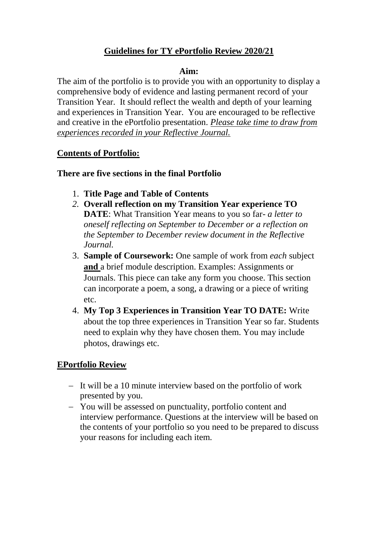# **Guidelines for TY ePortfolio Review 2020/21**

#### **Aim:**

The aim of the portfolio is to provide you with an opportunity to display a comprehensive body of evidence and lasting permanent record of your Transition Year. It should reflect the wealth and depth of your learning and experiences in Transition Year. You are encouraged to be reflective and creative in the ePortfolio presentation. *Please take time to draw from experiences recorded in your Reflective Journal.*

### **Contents of Portfolio:**

### **There are five sections in the final Portfolio**

- 1. **Title Page and Table of Contents**
- *2.* **Overall reflection on my Transition Year experience TO DATE**: What Transition Year means to you so far- *a letter to oneself reflecting on September to December or a reflection on the September to December review document in the Reflective Journal.*
- 3. **Sample of Coursework:** One sample of work from *each* subject **and** a brief module description. Examples: Assignments or Journals. This piece can take any form you choose. This section can incorporate a poem, a song, a drawing or a piece of writing etc.
- 4. **My Top 3 Experiences in Transition Year TO DATE:** Write about the top three experiences in Transition Year so far. Students need to explain why they have chosen them. You may include photos, drawings etc.

## **EPortfolio Review**

- It will be a 10 minute interview based on the portfolio of work presented by you.
- You will be assessed on punctuality, portfolio content and interview performance. Questions at the interview will be based on the contents of your portfolio so you need to be prepared to discuss your reasons for including each item.